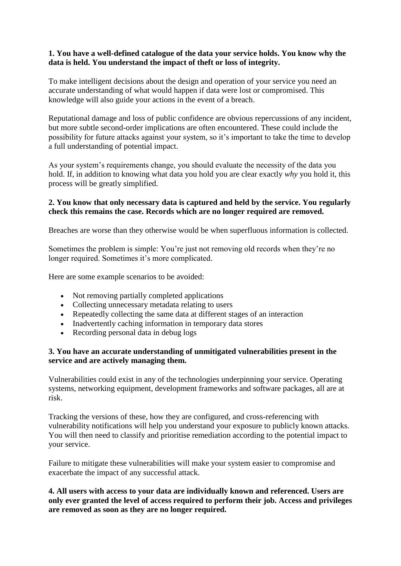# **1. You have a well-defined catalogue of the data your service holds. You know why the data is held. You understand the impact of theft or loss of integrity.**

To make intelligent decisions about the design and operation of your service you need an accurate understanding of what would happen if data were lost or compromised. This knowledge will also guide your actions in the event of a breach.

Reputational damage and loss of public confidence are obvious repercussions of any incident, but more subtle second-order implications are often encountered. These could include the possibility for future attacks against your system, so it's important to take the time to develop a full understanding of potential impact.

As your system's requirements change, you should evaluate the necessity of the data you hold. If, in addition to knowing what data you hold you are clear exactly *why* you hold it, this process will be greatly simplified.

# **2. You know that only necessary data is captured and held by the service. You regularly check this remains the case. Records which are no longer required are removed.**

Breaches are worse than they otherwise would be when superfluous information is collected.

Sometimes the problem is simple: You're just not removing old records when they're no longer required. Sometimes it's more complicated.

Here are some example scenarios to be avoided:

- Not removing partially completed applications
- Collecting unnecessary metadata relating to users
- Repeatedly collecting the same data at different stages of an interaction
- Inadvertently caching information in temporary data stores
- Recording personal data in debug logs

## **3. You have an accurate understanding of unmitigated vulnerabilities present in the service and are actively managing them.**

Vulnerabilities could exist in any of the technologies underpinning your service. Operating systems, networking equipment, development frameworks and software packages, all are at risk.

Tracking the versions of these, how they are configured, and cross-referencing with vulnerability notifications will help you understand your exposure to publicly known attacks. You will then need to classify and prioritise remediation according to the potential impact to your service.

Failure to mitigate these vulnerabilities will make your system easier to compromise and exacerbate the impact of any successful attack.

**4. All users with access to your data are individually known and referenced. Users are only ever granted the level of access required to perform their job. Access and privileges are removed as soon as they are no longer required.**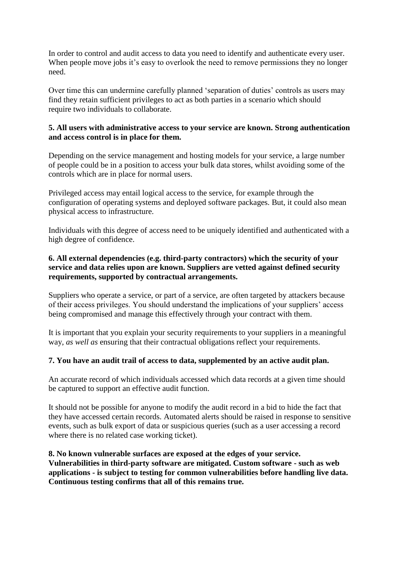In order to control and audit access to data you need to identify and authenticate every user. When people move jobs it's easy to overlook the need to remove permissions they no longer need.

Over time this can undermine carefully planned 'separation of duties' controls as users may find they retain sufficient privileges to act as both parties in a scenario which should require two individuals to collaborate.

### **5. All users with administrative access to your service are known. Strong authentication and access control is in place for them.**

Depending on the service management and hosting models for your service, a large number of people could be in a position to access your bulk data stores, whilst avoiding some of the controls which are in place for normal users.

Privileged access may entail logical access to the service, for example through the configuration of operating systems and deployed software packages. But, it could also mean physical access to infrastructure.

Individuals with this degree of access need to be uniquely identified and authenticated with a high degree of confidence.

# **6. All external dependencies (e.g. third-party contractors) which the security of your service and data relies upon are known. Suppliers are vetted against defined security requirements, supported by contractual arrangements.**

Suppliers who operate a service, or part of a service, are often targeted by attackers because of their access privileges. You should understand the implications of your suppliers' access being compromised and manage this effectively through your contract with them.

It is important that you explain your security requirements to your suppliers in a meaningful way, *as well as* ensuring that their contractual obligations reflect your requirements.

#### **7. You have an audit trail of access to data, supplemented by an active audit plan.**

An accurate record of which individuals accessed which data records at a given time should be captured to support an effective audit function.

It should not be possible for anyone to modify the audit record in a bid to hide the fact that they have accessed certain records. Automated alerts should be raised in response to sensitive events, such as bulk export of data or suspicious queries (such as a user accessing a record where there is no related case working ticket).

**8. No known vulnerable surfaces are exposed at the edges of your service. Vulnerabilities in third-party software are mitigated. Custom software - such as web applications - is subject to testing for common vulnerabilities before handling live data. Continuous testing confirms that all of this remains true.**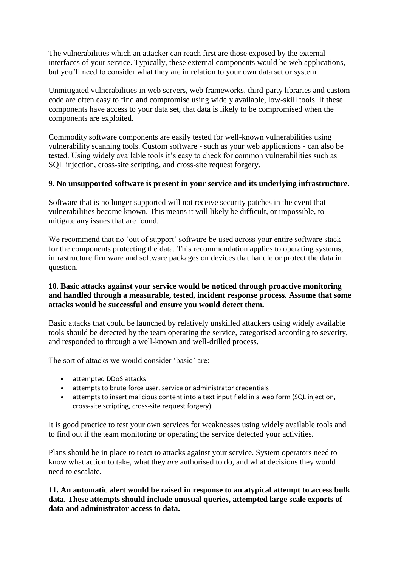The vulnerabilities which an attacker can reach first are those exposed by the external interfaces of your service. Typically, these external components would be web applications, but you'll need to consider what they are in relation to your own data set or system.

Unmitigated vulnerabilities in web servers, web frameworks, third-party libraries and custom code are often easy to find and compromise using widely available, low-skill tools. If these components have access to your data set, that data is likely to be compromised when the components are exploited.

Commodity software components are easily tested for well-known vulnerabilities using vulnerability scanning tools. Custom software - such as your web applications - can also be tested. Using widely available tools it's easy to check for common vulnerabilities such as SQL injection, cross-site scripting, and cross-site request forgery.

## **9. No unsupported software is present in your service and its underlying infrastructure.**

Software that is no longer supported will not receive security patches in the event that vulnerabilities become known. This means it will likely be difficult, or impossible, to mitigate any issues that are found.

We recommend that no 'out of support' software be used across your entire software stack for the components protecting the data. This recommendation applies to operating systems, infrastructure firmware and software packages on devices that handle or protect the data in question.

# **10. Basic attacks against your service would be noticed through proactive monitoring and handled through a measurable, tested, incident response process. Assume that some attacks would be successful and ensure you would detect them.**

Basic attacks that could be launched by relatively unskilled attackers using widely available tools should be detected by the team operating the service, categorised according to severity, and responded to through a well-known and well-drilled process.

The sort of attacks we would consider 'basic' are:

- attempted DDoS attacks
- attempts to brute force user, service or administrator credentials
- attempts to insert malicious content into a text input field in a web form (SQL injection, cross-site scripting, cross-site request forgery)

It is good practice to test your own services for weaknesses using widely available tools and to find out if the team monitoring or operating the service detected your activities.

Plans should be in place to react to attacks against your service. System operators need to know what action to take, what they *are* authorised to do, and what decisions they would need to escalate.

**11. An automatic alert would be raised in response to an atypical attempt to access bulk data. These attempts should include unusual queries, attempted large scale exports of data and administrator access to data.**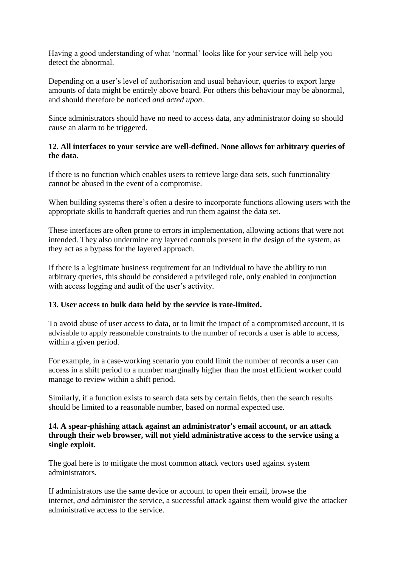Having a good understanding of what 'normal' looks like for your service will help you detect the abnormal.

Depending on a user's level of authorisation and usual behaviour, queries to export large amounts of data might be entirely above board. For others this behaviour may be abnormal, and should therefore be noticed *and acted upon*.

Since administrators should have no need to access data, any administrator doing so should cause an alarm to be triggered.

# **12. All interfaces to your service are well-defined. None allows for arbitrary queries of the data.**

If there is no function which enables users to retrieve large data sets, such functionality cannot be abused in the event of a compromise.

When building systems there's often a desire to incorporate functions allowing users with the appropriate skills to handcraft queries and run them against the data set.

These interfaces are often prone to errors in implementation, allowing actions that were not intended. They also undermine any layered controls present in the design of the system, as they act as a bypass for the layered approach.

If there is a legitimate business requirement for an individual to have the ability to run arbitrary queries, this should be considered a privileged role, only enabled in conjunction with access logging and audit of the user's activity.

#### **13. User access to bulk data held by the service is rate-limited.**

To avoid abuse of user access to data, or to limit the impact of a compromised account, it is advisable to apply reasonable constraints to the number of records a user is able to access, within a given period.

For example, in a case-working scenario you could limit the number of records a user can access in a shift period to a number marginally higher than the most efficient worker could manage to review within a shift period.

Similarly, if a function exists to search data sets by certain fields, then the search results should be limited to a reasonable number, based on normal expected use.

#### **14. A spear-phishing attack against an administrator's email account, or an attack through their web browser, will not yield administrative access to the service using a single exploit.**

The goal here is to mitigate the most common attack vectors used against system administrators.

If administrators use the same device or account to open their email, browse the internet, *and* administer the service, a successful attack against them would give the attacker administrative access to the service.